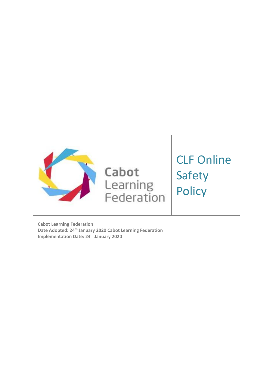

Cabot Learning<br>Federation CLF Online Safety **Policy** 

**Cabot Learning Federation Date Adopted: 24th January 2020 Cabot Learning Federation Implementation Date: 24th January 2020**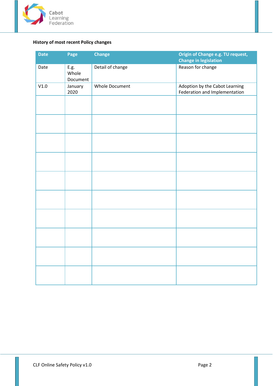

# **History of most recent Policy changes**

| <b>Date</b> | Page                      | <b>Change</b>         | Origin of Change e.g. TU request,<br><b>Change in legislation</b> |
|-------------|---------------------------|-----------------------|-------------------------------------------------------------------|
| Date        | E.g.<br>Whole<br>Document | Detail of change      | Reason for change                                                 |
| V1.0        | January<br>2020           | <b>Whole Document</b> | Adoption by the Cabot Learning<br>Federation and Implementation   |
|             |                           |                       |                                                                   |
|             |                           |                       |                                                                   |
|             |                           |                       |                                                                   |
|             |                           |                       |                                                                   |
|             |                           |                       |                                                                   |
|             |                           |                       |                                                                   |
|             |                           |                       |                                                                   |
|             |                           |                       |                                                                   |
|             |                           |                       |                                                                   |
|             |                           |                       |                                                                   |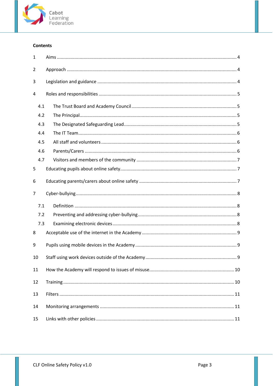

# **Contents**

| $\mathbf{1}$ |     |  |
|--------------|-----|--|
| 2            |     |  |
| 3            |     |  |
| 4            |     |  |
|              | 4.1 |  |
|              | 4.2 |  |
|              | 4.3 |  |
|              | 4.4 |  |
|              | 4.5 |  |
|              | 4.6 |  |
|              | 4.7 |  |
| 5            |     |  |
| 6            |     |  |
| 7            |     |  |
|              |     |  |
|              | 7.1 |  |
|              | 7.2 |  |
|              | 7.3 |  |
| 8            |     |  |
| 9            |     |  |
| 10           |     |  |
| 11           |     |  |
| 12           |     |  |
| 13           |     |  |
| 14           |     |  |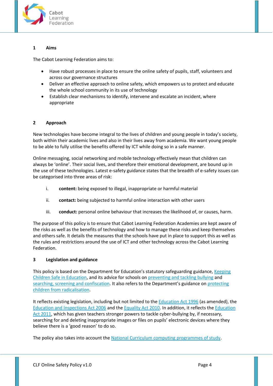

# <span id="page-3-0"></span>**1 Aims**

The Cabot Learning Federation aims to:

- Have robust processes in place to ensure the online safety of pupils, staff, volunteers and across our governance structures
- Deliver an effective approach to online safety, which empowers us to protect and educate the whole school community in its use of technology
- Establish clear mechanisms to identify, intervene and escalate an incident, where appropriate

# <span id="page-3-1"></span>**2 Approach**

New technologies have become integral to the lives of children and young people in today's society, both within their academic lives and also in their lives away from academia. We want young people to be able to fully utilise the benefits offered by ICT while doing so in a safe manner.

Online messaging, social networking and mobile technology effectively mean that children can always be 'online'. Their social lives, and therefore their emotional development, are bound up in the use of these technologies. Latest e-safety guidance states that the breadth of e-safety issues can be categorised into three areas of risk:

- i. **content:** being exposed to illegal, inappropriate or harmful material
- ii. **contact:** being subjected to harmful online interaction with other users
- iii. **conduct:** personal online behaviour that increases the likelihood of, or causes, harm.

The purpose of this policy is to ensure that Cabot Learning Federation Academies are kept aware of the risks as well as the benefits of technology and how to manage these risks and keep themselves and others safe. It details the measures that the schools have put in place to support this as well as the rules and restrictions around the use of ICT and other technology across the Cabot Learning Federation.

# <span id="page-3-2"></span>**3 Legislation and guidance**

This policy is based on the Department for Education's statutory safeguarding guidance, Keeping [Children Safe in Education,](https://www.gov.uk/government/publications/keeping-children-safe-in-education--2) and its advice for schools on [preventing and tackling bullying](https://www.gov.uk/government/publications/preventing-and-tackling-bullying) and [searching, screening and confiscation](https://www.gov.uk/government/publications/searching-screening-and-confiscation). It also refers to the Department's guidance on [protecting](https://www.gov.uk/government/publications/protecting-children-from-radicalisation-the-prevent-duty)  [children from radicalisation.](https://www.gov.uk/government/publications/protecting-children-from-radicalisation-the-prevent-duty)

It reflects existing legislation, including but not limited to the [Education Act 1996](https://www.legislation.gov.uk/ukpga/1996/56/contents) (as amended), the [Education and Inspections Act 2006](https://www.legislation.gov.uk/ukpga/2006/40/contents) and th[e Equality Act 2010.](https://www.legislation.gov.uk/ukpga/2010/15/contents) In addition, it reflects the [Education](http://www.legislation.gov.uk/ukpga/2011/21/contents/enacted)  [Act 2011,](http://www.legislation.gov.uk/ukpga/2011/21/contents/enacted) which has given teachers stronger powers to tackle cyber-bullying by, if necessary, searching for and deleting inappropriate images or files on pupils' electronic devices where they believe there is a 'good reason' to do so.

The policy also takes into account the [National Curriculum computing programmes of study.](https://www.gov.uk/government/publications/national-curriculum-in-england-computing-programmes-of-study)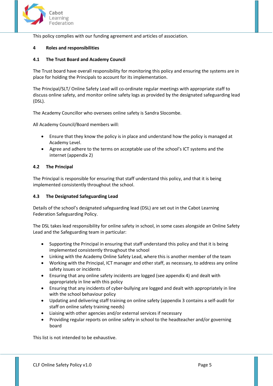

This policy complies with our funding agreement and articles of association.

### <span id="page-4-0"></span>**4 Roles and responsibilities**

### <span id="page-4-1"></span>**4.1 The Trust Board and Academy Council**

The Trust board have overall responsibility for monitoring this policy and ensuring the systems are in place for holding the Principals to account for its implementation.

The Principal/SLT/ Online Safety Lead will co-ordinate regular meetings with appropriate staff to discuss online safety, and monitor online safety logs as provided by the designated safeguarding lead (DSL).

The Academy Councillor who oversees online safety is Sandra Slocombe.

All Academy Council/Board members will:

- Ensure that they know the policy is in place and understand how the policy is managed at Academy Level.
- Agree and adhere to the terms on acceptable use of the school's ICT systems and the internet (appendix 2)

# <span id="page-4-2"></span>**4.2 The Principal**

The Principal is responsible for ensuring that staff understand this policy, and that it is being implemented consistently throughout the school.

# <span id="page-4-3"></span>**4.3 The Designated Safeguarding Lead**

Details of the school's designated safeguarding lead (DSL) are set out in the Cabot Learning Federation Safeguarding Policy.

The DSL takes lead responsibility for online safety in school, in some cases alongside an Online Safety Lead and the Safeguarding team in particular:

- Supporting the Principal in ensuring that staff understand this policy and that it is being implemented consistently throughout the school
- Linking with the Academy Online Safety Lead, where this is another member of the team
- Working with the Principal, ICT manager and other staff, as necessary, to address any online safety issues or incidents
- Ensuring that any online safety incidents are logged (see appendix 4) and dealt with appropriately in line with this policy
- Ensuring that any incidents of cyber-bullying are logged and dealt with appropriately in line with the school behaviour policy
- Updating and delivering staff training on online safety (appendix 3 contains a self-audit for staff on online safety training needs)
- Liaising with other agencies and/or external services if necessary
- Providing regular reports on online safety in school to the headteacher and/or governing board

This list is not intended to be exhaustive.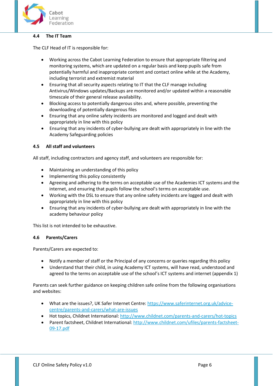

### <span id="page-5-0"></span>**4.4 The IT Team**

The CLF Head of IT is responsible for:

- Working across the Cabot Learning Federation to ensure that appropriate filtering and monitoring systems, which are updated on a regular basis and keep pupils safe from potentially harmful and inappropriate content and contact online while at the Academy, including terrorist and extremist material
- Ensuring that all security aspects relating to IT that the CLF manage including Antivirus/Windows updates/Backups are monitored and/or updated within a reasonable timescale of their general release availability.
- Blocking access to potentially dangerous sites and, where possible, preventing the downloading of potentially dangerous files
- Ensuring that any online safety incidents are monitored and logged and dealt with appropriately in line with this policy
- Ensuring that any incidents of cyber-bullying are dealt with appropriately in line with the Academy Safeguarding policies

# <span id="page-5-1"></span>**4.5 All staff and volunteers**

All staff, including contractors and agency staff, and volunteers are responsible for:

- Maintaining an understanding of this policy
- Implementing this policy consistently
- Agreeing and adhering to the terms on acceptable use of the Academies ICT systems and the internet, and ensuring that pupils follow the school's terms on acceptable use.
- Working with the DSL to ensure that any online safety incidents are logged and dealt with appropriately in line with this policy
- Ensuring that any incidents of cyber-bullying are dealt with appropriately in line with the academy behaviour policy

This list is not intended to be exhaustive.

### <span id="page-5-2"></span>**4.6 Parents/Carers**

Parents/Carers are expected to:

- Notify a member of staff or the Principal of any concerns or queries regarding this policy
- Understand that their child, in using Academy ICT systems, will have read, understood and agreed to the terms on acceptable use of the school's ICT systems and internet (appendix 1)

Parents can seek further guidance on keeping children safe online from the following organisations and websites:

- What are the issues?, UK Safer Internet Centre: [https://www.saferinternet.org.uk/advice](https://www.saferinternet.org.uk/advice-centre/parents-and-carers/what-are-issues)[centre/parents-and-carers/what-are-issues](https://www.saferinternet.org.uk/advice-centre/parents-and-carers/what-are-issues)
- Hot topics, Childnet International:<http://www.childnet.com/parents-and-carers/hot-topics>
- Parent factsheet, Childnet International[: http://www.childnet.com/ufiles/parents-factsheet-](http://www.childnet.com/ufiles/parents-factsheet-09-17.pdf)[09-17.pdf](http://www.childnet.com/ufiles/parents-factsheet-09-17.pdf)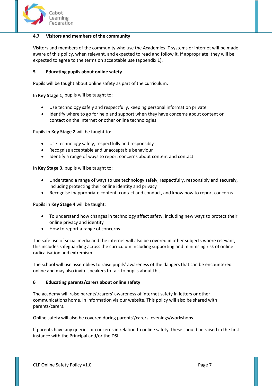

### <span id="page-6-0"></span>**4.7 Visitors and members of the community**

Visitors and members of the community who use the Academies IT systems or internet will be made aware of this policy, when relevant, and expected to read and follow it. If appropriate, they will be expected to agree to the terms on acceptable use (appendix 1).

# <span id="page-6-1"></span>**5 Educating pupils about online safety**

Pupils will be taught about online safety as part of the curriculum.

In **Key Stage 1**, pupils will be taught to:

- Use technology safely and respectfully, keeping personal information private
- Identify where to go for help and support when they have concerns about content or contact on the internet or other online technologies

Pupils in **Key Stage 2** will be taught to:

- Use technology safely, respectfully and responsibly
- Recognise acceptable and unacceptable behaviour
- Identify a range of ways to report concerns about content and contact

In **Key Stage 3**, pupils will be taught to:

- Understand a range of ways to use technology safely, respectfully, responsibly and securely, including protecting their online identity and privacy
- Recognise inappropriate content, contact and conduct, and know how to report concerns

Pupils in **Key Stage 4** will be taught:

- To understand how changes in technology affect safety, including new ways to protect their online privacy and identity
- How to report a range of concerns

The safe use of social media and the internet will also be covered in other subjects where relevant, this includes safeguarding across the curriculum including supporting and minimsing risk of online radicalisation and extremism.

The school will use assemblies to raise pupils' awareness of the dangers that can be encountered online and may also invite speakers to talk to pupils about this.

### <span id="page-6-2"></span>**6 Educating parents/carers about online safety**

The academy will raise parents'/carers' awareness of internet safety in letters or other communications home, in information via our website. This policy will also be shared with parents/carers.

Online safety will also be covered during parents'/carers' evenings/workshops.

If parents have any queries or concerns in relation to online safety, these should be raised in the first instance with the Principal and/or the DSL.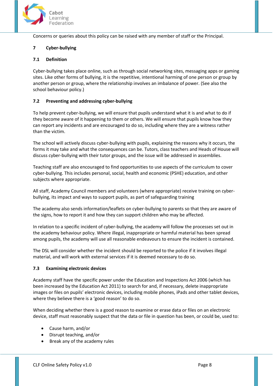

Concerns or queries about this policy can be raised with any member of staff or the Principal.

# <span id="page-7-0"></span>**7 Cyber-bullying**

# <span id="page-7-1"></span>**7.1 Definition**

Cyber-bullying takes place online, such as through social networking sites, messaging apps or gaming sites. Like other forms of bullying, it is the repetitive, intentional harming of one person or group by another person or group, where the relationship involves an imbalance of power. (See also the school behaviour policy.)

# <span id="page-7-2"></span>**7.2 Preventing and addressing cyber-bullying**

To help prevent cyber-bullying, we will ensure that pupils understand what it is and what to do if they become aware of it happening to them or others. We will ensure that pupils know how they can report any incidents and are encouraged to do so, including where they are a witness rather than the victim.

The school will actively discuss cyber-bullying with pupils, explaining the reasons why it occurs, the forms it may take and what the consequences can be. Tutors, class teachers and Heads of House will discuss cyber-bullying with their tutor groups, and the issue will be addressed in assemblies.

Teaching staff are also encouraged to find opportunities to use aspects of the curriculum to cover cyber-bullying. This includes personal, social, health and economic (PSHE) education, and other subjects where appropriate.

All staff, Academy Council members and volunteers (where appropriate) receive training on cyberbullying, its impact and ways to support pupils, as part of safeguarding training

The academy also sends information/leaflets on cyber-bullying to parents so that they are aware of the signs, how to report it and how they can support children who may be affected.

In relation to a specific incident of cyber-bullying, the academy will follow the processes set out in the academy behaviour policy. Where illegal, inappropriate or harmful material has been spread among pupils, the academy will use all reasonable endeavours to ensure the incident is contained.

The DSL will consider whether the incident should be reported to the police if it involves illegal material, and will work with external services if it is deemed necessary to do so.

### <span id="page-7-3"></span>**7.3 Examining electronic devices**

Academy staff have the specific power under the Education and Inspections Act 2006 (which has been increased by the Education Act 2011) to search for and, if necessary, delete inappropriate images or files on pupils' electronic devices, including mobile phones, iPads and other tablet devices, where they believe there is a 'good reason' to do so.

When deciding whether there is a good reason to examine or erase data or files on an electronic device, staff must reasonably suspect that the data or file in question has been, or could be, used to:

- Cause harm, and/or
- Disrupt teaching, and/or
- Break any of the academy rules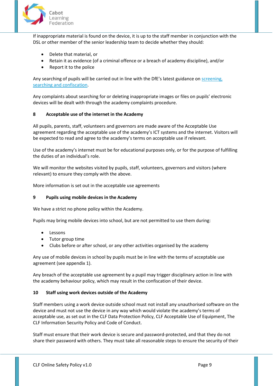

If inappropriate material is found on the device, it is up to the staff member in conjunction with the DSL or other member of the senior leadership team to decide whether they should:

- Delete that material, or
- Retain it as evidence (of a criminal offence or a breach of academy discipline), and/or
- Report it to the police

Any searching of pupils will be carried out in line with the DfE's latest guidance on screening, [searching and confiscation.](https://www.gov.uk/government/publications/searching-screening-and-confiscation)

Any complaints about searching for or deleting inappropriate images or files on pupils' electronic devices will be dealt with through the academy complaints procedure.

### <span id="page-8-0"></span>**8 Acceptable use of the internet in the Academy**

All pupils, parents, staff, volunteers and governors are made aware of the Acceptable Use agreement regarding the acceptable use of the academy's ICT systems and the internet. Visitors will be expected to read and agree to the academy's terms on acceptable use if relevant.

Use of the academy's internet must be for educational purposes only, or for the purpose of fulfilling the duties of an individual's role.

We will monitor the websites visited by pupils, staff, volunteers, governors and visitors (where relevant) to ensure they comply with the above.

More information is set out in the acceptable use agreements

### <span id="page-8-1"></span>**9 Pupils using mobile devices in the Academy**

We have a strict no phone policy within the Academy.

Pupils may bring mobile devices into school, but are not permitted to use them during:

- Lessons
- Tutor group time
- Clubs before or after school, or any other activities organised by the academy

Any use of mobile devices in school by pupils must be in line with the terms of acceptable use agreement (see appendix 1).

Any breach of the acceptable use agreement by a pupil may trigger disciplinary action in line with the academy behaviour policy, which may result in the confiscation of their device.

### <span id="page-8-2"></span>**10 Staff using work devices outside of the Academy**

Staff members using a work device outside school must not install any unauthorised software on the device and must not use the device in any way which would violate the academy's terms of acceptable use, as set out in the CLF Data Protection Policy, CLF Acceptable Use of Equipment, The CLF Information Security Policy and Code of Conduct.

Staff must ensure that their work device is secure and password-protected, and that they do not share their password with others. They must take all reasonable steps to ensure the security of their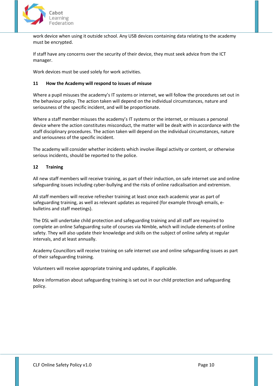

work device when using it outside school. Any USB devices containing data relating to the academy must be encrypted.

If staff have any concerns over the security of their device, they must seek advice from the ICT manager.

Work devices must be used solely for work activities.

# <span id="page-9-0"></span>**11 How the Academy will respond to issues of misuse**

Where a pupil misuses the academy's IT systems or internet, we will follow the procedures set out in the behaviour policy. The action taken will depend on the individual circumstances, nature and seriousness of the specific incident, and will be proportionate.

Where a staff member misuses the academy's IT systems or the internet, or misuses a personal device where the action constitutes misconduct, the matter will be dealt with in accordance with the staff disciplinary procedures. The action taken will depend on the individual circumstances, nature and seriousness of the specific incident.

The academy will consider whether incidents which involve illegal activity or content, or otherwise serious incidents, should be reported to the police.

# <span id="page-9-1"></span>**12 Training**

All new staff members will receive training, as part of their induction, on safe internet use and online safeguarding issues including cyber-bullying and the risks of online radicalisation and extremism.

All staff members will receive refresher training at least once each academic year as part of safeguarding training, as well as relevant updates as required (for example through emails, ebulletins and staff meetings).

The DSL will undertake child protection and safeguarding training and all staff are required to complete an online Safeguarding suite of courses via Nimble, which will include elements of online safety. They will also update their knowledge and skills on the subject of online safety at regular intervals, and at least annually.

Academy Councillors will receive training on safe internet use and online safeguarding issues as part of their safeguarding training.

Volunteers will receive appropriate training and updates, if applicable.

More information about safeguarding training is set out in our child protection and safeguarding policy.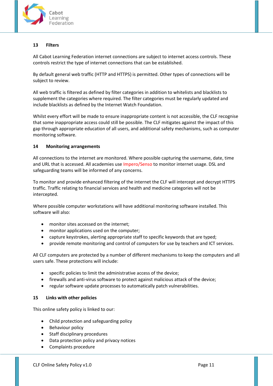

# <span id="page-10-0"></span>**13 Filters**

All Cabot Learning Federation internet connections are subject to internet access controls. These controls restrict the type of internet connections that can be established.

By default general web traffic (HTTP and HTTPS) is permitted. Other types of connections will be subject to review.

All web traffic is filtered as defined by filter categories in addition to whitelists and blacklists to supplement the categories where required. The filter categories must be regularly updated and include blacklists as defined by the Internet Watch Foundation.

Whilst every effort will be made to ensure inappropriate content is not accessible, the CLF recognise that some inappropriate access could still be possible. The CLF mitigates against the impact of this gap through appropriate education of all users, and additional safety mechanisms, such as computer monitoring software.

# <span id="page-10-1"></span>**14 Monitoring arrangements**

All connections to the internet are monitored. Where possible capturing the username, date, time and URL that is accessed. All academies use Impero/Senso to monitor internet usage. DSL and safeguarding teams will be informed of any concerns.

To monitor and provide enhanced filtering of the internet the CLF will intercept and decrypt HTTPS traffic. Traffic relating to financial services and health and medicine categories will not be intercepted.

Where possible computer workstations will have additional monitoring software installed. This software will also:

- monitor sites accessed on the internet;
- monitor applications used on the computer;
- capture keystrokes, alerting appropriate staff to specific keywords that are typed;
- provide remote monitoring and control of computers for use by teachers and ICT services.

All CLF computers are protected by a number of different mechanisms to keep the computers and all users safe. These protections will include:

- specific policies to limit the administrative access of the device;
- firewalls and anti-virus software to protect against malicious attack of the device;
- regular software update processes to automatically patch vulnerabilities.

### <span id="page-10-2"></span>**15 Links with other policies**

This online safety policy is linked to our:

- Child protection and safeguarding policy
- Behaviour policy
- Staff disciplinary procedures
- Data protection policy and privacy notices
- Complaints procedure